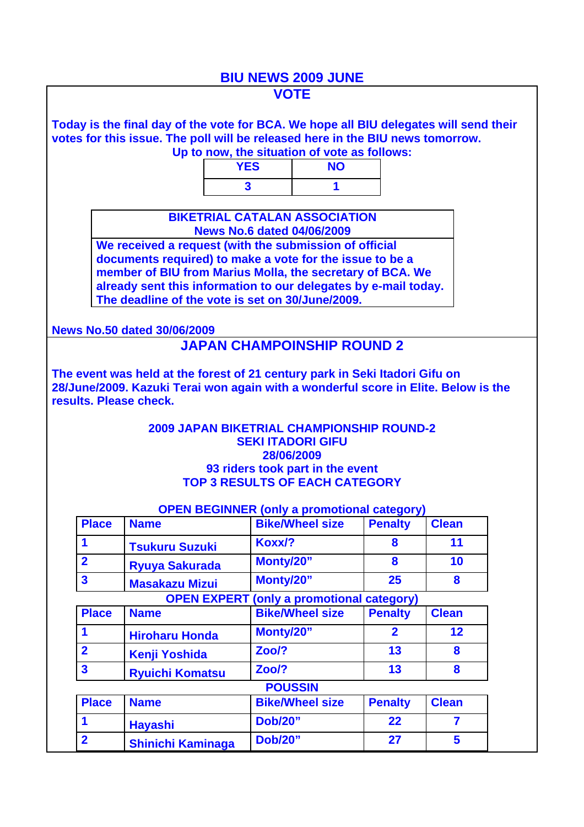## **BIU NEWS 2009 JUNE**

|                                                                                                                                                                         |                                                                                                                                                                                             |                                                                            | <b>VOTE</b>                                             |                |                         |  |  |  |  |  |
|-------------------------------------------------------------------------------------------------------------------------------------------------------------------------|---------------------------------------------------------------------------------------------------------------------------------------------------------------------------------------------|----------------------------------------------------------------------------|---------------------------------------------------------|----------------|-------------------------|--|--|--|--|--|
|                                                                                                                                                                         | Today is the final day of the vote for BCA. We hope all BIU delegates will send their<br>votes for this issue. The poll will be released here in the BIU news tomorrow.                     |                                                                            |                                                         |                |                         |  |  |  |  |  |
| Up to now, the situation of vote as follows:<br><b>YES</b><br><b>NO</b>                                                                                                 |                                                                                                                                                                                             |                                                                            |                                                         |                |                         |  |  |  |  |  |
|                                                                                                                                                                         |                                                                                                                                                                                             | $\overline{\mathbf{3}}$                                                    | 1                                                       |                |                         |  |  |  |  |  |
|                                                                                                                                                                         |                                                                                                                                                                                             |                                                                            |                                                         |                |                         |  |  |  |  |  |
|                                                                                                                                                                         | <b>BIKETRIAL CATALAN ASSOCIATION</b><br><b>News No.6 dated 04/06/2009</b>                                                                                                                   |                                                                            |                                                         |                |                         |  |  |  |  |  |
|                                                                                                                                                                         |                                                                                                                                                                                             |                                                                            |                                                         |                |                         |  |  |  |  |  |
|                                                                                                                                                                         | documents required) to make a vote for the issue to be a                                                                                                                                    |                                                                            |                                                         |                |                         |  |  |  |  |  |
|                                                                                                                                                                         | member of BIU from Marius Molla, the secretary of BCA. We<br>already sent this information to our delegates by e-mail today.                                                                |                                                                            |                                                         |                |                         |  |  |  |  |  |
|                                                                                                                                                                         | The deadline of the vote is set on 30/June/2009.                                                                                                                                            |                                                                            |                                                         |                |                         |  |  |  |  |  |
|                                                                                                                                                                         |                                                                                                                                                                                             |                                                                            |                                                         |                |                         |  |  |  |  |  |
|                                                                                                                                                                         | <b>News No.50 dated 30/06/2009</b>                                                                                                                                                          |                                                                            |                                                         |                |                         |  |  |  |  |  |
|                                                                                                                                                                         |                                                                                                                                                                                             | <b>JAPAN CHAMPOINSHIP ROUND 2</b>                                          |                                                         |                |                         |  |  |  |  |  |
|                                                                                                                                                                         | The event was held at the forest of 21 century park in Seki Itadori Gifu on<br>28/June/2009. Kazuki Terai won again with a wonderful score in Elite. Below is the<br>results. Please check. |                                                                            |                                                         |                |                         |  |  |  |  |  |
| <b>2009 JAPAN BIKETRIAL CHAMPIONSHIP ROUND-2</b><br><b>SEKI ITADORI GIFU</b><br>28/06/2009<br>93 riders took part in the event<br><b>TOP 3 RESULTS OF EACH CATEGORY</b> |                                                                                                                                                                                             |                                                                            |                                                         |                |                         |  |  |  |  |  |
|                                                                                                                                                                         |                                                                                                                                                                                             |                                                                            |                                                         |                |                         |  |  |  |  |  |
|                                                                                                                                                                         | <b>Place</b><br><b>Name</b>                                                                                                                                                                 | <b>OPEN BEGINNER (only a promotional category)</b>                         | <b>Bike/Wheel size</b>                                  | <b>Penalty</b> | <b>Clean</b>            |  |  |  |  |  |
| 1                                                                                                                                                                       |                                                                                                                                                                                             | Koxx/?                                                                     |                                                         | 8              | 11                      |  |  |  |  |  |
| $\overline{2}$                                                                                                                                                          | <b>Tsukuru Suzuki</b>                                                                                                                                                                       | Monty/20"                                                                  |                                                         | 8              | 10                      |  |  |  |  |  |
| $\overline{\mathbf{3}}$                                                                                                                                                 | <b>Ryuya Sakurada</b>                                                                                                                                                                       | Monty/20"                                                                  |                                                         | 25             | 8                       |  |  |  |  |  |
|                                                                                                                                                                         | <b>Masakazu Mizui</b>                                                                                                                                                                       |                                                                            |                                                         |                |                         |  |  |  |  |  |
|                                                                                                                                                                         | <b>Place</b><br><b>Name</b>                                                                                                                                                                 | <b>OPEN EXPERT</b>                                                         | (only a promotional category)<br><b>Bike/Wheel size</b> | <b>Penalty</b> | <b>Clean</b>            |  |  |  |  |  |
| 1                                                                                                                                                                       |                                                                                                                                                                                             | Monty/20"                                                                  |                                                         | $\overline{2}$ | 12                      |  |  |  |  |  |
|                                                                                                                                                                         | <b>Hiroharu Honda</b>                                                                                                                                                                       |                                                                            |                                                         |                |                         |  |  |  |  |  |
| $\overline{\mathbf{2}}$                                                                                                                                                 | <b>Kenji Yoshida</b>                                                                                                                                                                        | Zoo/?                                                                      |                                                         | 13             | 8                       |  |  |  |  |  |
| $\overline{\mathbf{3}}$                                                                                                                                                 | <b>Ryuichi Komatsu</b>                                                                                                                                                                      | Zoo/?                                                                      |                                                         | 13             | 8                       |  |  |  |  |  |
|                                                                                                                                                                         | <b>Place</b><br><b>Name</b>                                                                                                                                                                 | <b>POUSSIN</b><br><b>Penalty</b><br><b>Bike/Wheel size</b><br><b>Clean</b> |                                                         |                |                         |  |  |  |  |  |
|                                                                                                                                                                         |                                                                                                                                                                                             |                                                                            |                                                         |                | $\overline{\mathbf{r}}$ |  |  |  |  |  |
| 1                                                                                                                                                                       | <b>Hayashi</b>                                                                                                                                                                              | <b>Dob/20"</b>                                                             |                                                         | 22             |                         |  |  |  |  |  |
| $\overline{\mathbf{2}}$                                                                                                                                                 | <b>Shinichi Kaminaga</b>                                                                                                                                                                    | <b>Dob/20"</b>                                                             |                                                         | 27             | $5\phantom{1}$          |  |  |  |  |  |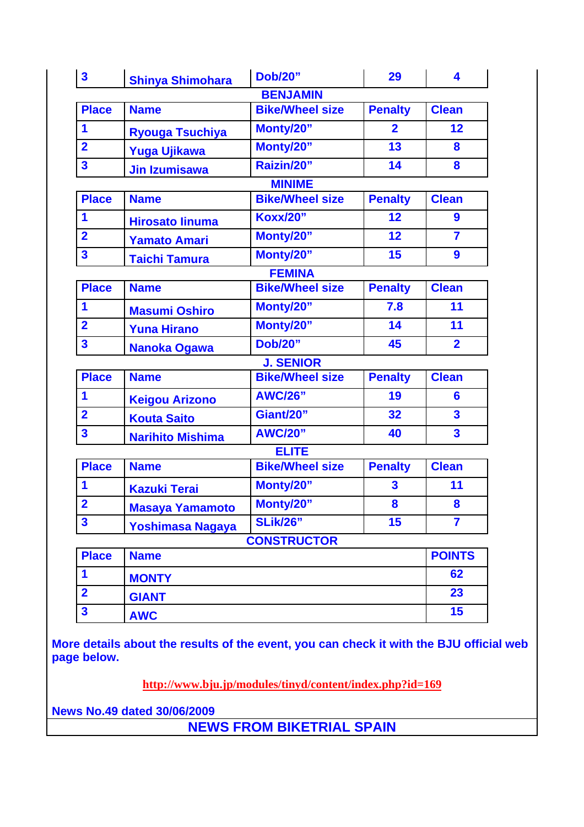| $\mathbf{3}$            | <b>Shinya Shimohara</b> | <b>Dob/20"</b>         | 29                      | 4                       |  |  |  |  |  |
|-------------------------|-------------------------|------------------------|-------------------------|-------------------------|--|--|--|--|--|
| <b>BENJAMIN</b>         |                         |                        |                         |                         |  |  |  |  |  |
| <b>Place</b>            | <b>Name</b>             | <b>Bike/Wheel size</b> | <b>Penalty</b>          | <b>Clean</b>            |  |  |  |  |  |
| 1                       | <b>Ryouga Tsuchiya</b>  | Monty/20"              | $\overline{2}$          | 12                      |  |  |  |  |  |
| $\overline{2}$          | <b>Yuga Ujikawa</b>     | Monty/20"              | 13                      | 8                       |  |  |  |  |  |
| $\overline{\mathbf{3}}$ | <b>Jin Izumisawa</b>    | Raizin/20"             | 14                      | 8                       |  |  |  |  |  |
| <b>MINIME</b>           |                         |                        |                         |                         |  |  |  |  |  |
| <b>Place</b>            | <b>Name</b>             | <b>Bike/Wheel size</b> | <b>Penalty</b>          | <b>Clean</b>            |  |  |  |  |  |
| 1                       | <b>Hirosato linuma</b>  | <b>Koxx/20"</b>        | 12                      | 9                       |  |  |  |  |  |
| $\overline{2}$          | <b>Yamato Amari</b>     | Monty/20"              | 12                      | $\overline{7}$          |  |  |  |  |  |
| $\overline{\mathbf{3}}$ | <b>Taichi Tamura</b>    | Monty/20"              | 15                      | 9                       |  |  |  |  |  |
| <b>FEMINA</b>           |                         |                        |                         |                         |  |  |  |  |  |
| <b>Place</b>            | <b>Name</b>             | <b>Bike/Wheel size</b> | <b>Penalty</b>          | <b>Clean</b>            |  |  |  |  |  |
| 1                       | <b>Masumi Oshiro</b>    | Monty/20"              | 7.8                     | 11                      |  |  |  |  |  |
| $\overline{2}$          | <b>Yuna Hirano</b>      | Monty/20"              | 14                      | 11                      |  |  |  |  |  |
| $\overline{\mathbf{3}}$ | <b>Nanoka Ogawa</b>     | <b>Dob/20"</b>         | 45                      | $\overline{2}$          |  |  |  |  |  |
| <b>J. SENIOR</b>        |                         |                        |                         |                         |  |  |  |  |  |
| <b>Place</b>            | <b>Name</b>             | <b>Bike/Wheel size</b> | <b>Penalty</b>          | <b>Clean</b>            |  |  |  |  |  |
| 1                       | <b>Keigou Arizono</b>   | <b>AWC/26"</b>         | 19                      | 6                       |  |  |  |  |  |
| $\overline{2}$          | <b>Kouta Saito</b>      | Giant/20"              | 32                      | $\overline{\mathbf{3}}$ |  |  |  |  |  |
| $\overline{\mathbf{3}}$ | <b>Narihito Mishima</b> | <b>AWC/20"</b>         | 40                      | $\overline{\mathbf{3}}$ |  |  |  |  |  |
|                         |                         | <b>ELITE</b>           |                         |                         |  |  |  |  |  |
| <b>Place</b>            | <b>Name</b>             | <b>Bike/Wheel size</b> | <b>Penalty</b>          | <b>Clean</b>            |  |  |  |  |  |
| 1                       | <b>Kazuki Terai</b>     | Monty/20"              | $\overline{\mathbf{3}}$ | 11                      |  |  |  |  |  |
| $\overline{2}$          | <b>Masaya Yamamoto</b>  | Monty/20"              | 8                       | 8                       |  |  |  |  |  |
| $\overline{\mathbf{3}}$ | Yoshimasa Nagaya        | <b>SLik/26"</b>        | 15                      | $\overline{7}$          |  |  |  |  |  |
|                         |                         | <b>CONSTRUCTOR</b>     |                         |                         |  |  |  |  |  |
| <b>Place</b>            | <b>Name</b>             | <b>POINTS</b>          |                         |                         |  |  |  |  |  |
| 1                       | <b>MONTY</b>            | 62                     |                         |                         |  |  |  |  |  |
| $\overline{2}$          | <b>GIANT</b>            | 23                     |                         |                         |  |  |  |  |  |
| $\overline{\mathbf{3}}$ | <b>AWC</b>              |                        |                         |                         |  |  |  |  |  |

**More details about the results of the event, you can check it with the BJU official web page below.**

**http://www.bju.jp/modules/tinyd/content/index.php?id=169**

**News No.49 dated 30/06/2009**

**NEWS FROM BIKETRIAL SPAIN**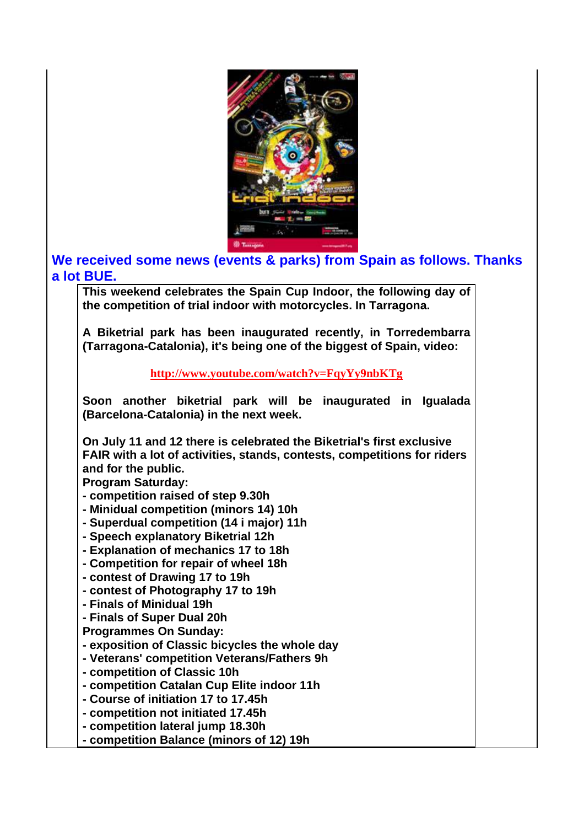

## **We received some news (events & parks) from Spain as follows. Thanks a lot BUE.**

**This weekend celebrates the Spain Cup Indoor, the following day of the competition of trial indoor with motorcycles. In Tarragona.**

**A Biketrial park has been inaugurated recently, in Torredembarra (Tarragona-Catalonia), it's being one of the biggest of Spain, video:**

**http://www.youtube.com/watch?v=FqyYy9nbKTg**

**Soon another biketrial park will be inaugurated in Igualada (Barcelona-Catalonia) in the next week.**

**On July 11 and 12 there is celebrated the Biketrial's first exclusive FAIR with a lot of activities, stands, contests, competitions for riders and for the public.** 

**Program Saturday:** 

- **competition raised of step 9.30h**
- **Minidual competition (minors 14) 10h**
- **Superdual competition (14 i major) 11h**
- **Speech explanatory Biketrial 12h**
- **Explanation of mechanics 17 to 18h**
- **Competition for repair of wheel 18h**
- **contest of Drawing 17 to 19h**
- **contest of Photography 17 to 19h**
- **Finals of Minidual 19h**
- **Finals of Super Dual 20h**
- **Programmes On Sunday:**
- **exposition of Classic bicycles the whole day**
- **Veterans' competition Veterans/Fathers 9h**
- **competition of Classic 10h**
- **competition Catalan Cup Elite indoor 11h**
- **Course of initiation 17 to 17.45h**
- **competition not initiated 17.45h**
- **competition lateral jump 18.30h**
- **competition Balance (minors of 12) 19h**